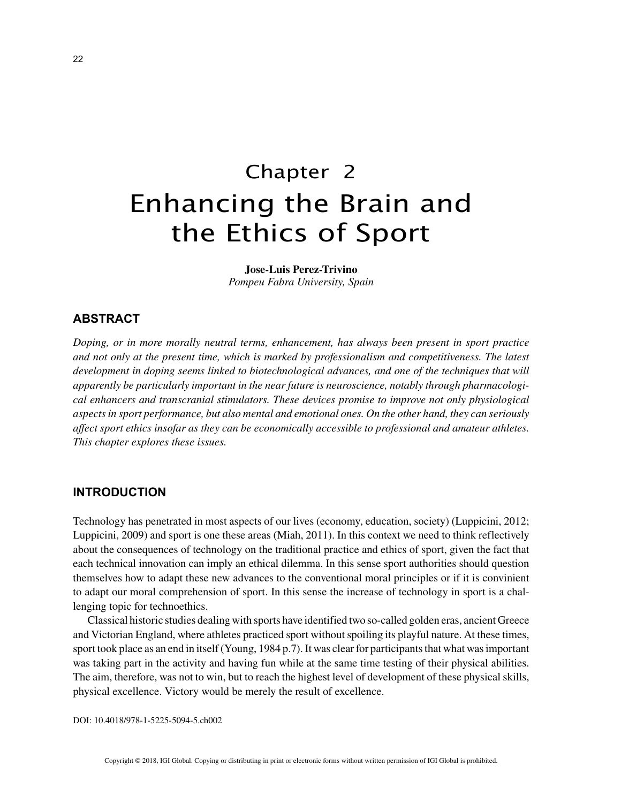# Chapter 2 Enhancing the Brain and the Ethics of Sport

**Jose-Luis Perez-Trivino** *Pompeu Fabra University, Spain*

## **ABSTRACT**

*Doping, or in more morally neutral terms, enhancement, has always been present in sport practice and not only at the present time, which is marked by professionalism and competitiveness. The latest development in doping seems linked to biotechnological advances, and one of the techniques that will apparently be particularly important in the near future is neuroscience, notably through pharmacological enhancers and transcranial stimulators. These devices promise to improve not only physiological aspects in sport performance, but also mental and emotional ones. On the other hand, they can seriously affect sport ethics insofar as they can be economically accessible to professional and amateur athletes. This chapter explores these issues.*

## **INTRODUCTION**

Technology has penetrated in most aspects of our lives (economy, education, society) (Luppicini, 2012; Luppicini, 2009) and sport is one these areas (Miah, 2011). In this context we need to think reflectively about the consequences of technology on the traditional practice and ethics of sport, given the fact that each technical innovation can imply an ethical dilemma. In this sense sport authorities should question themselves how to adapt these new advances to the conventional moral principles or if it is convinient to adapt our moral comprehension of sport. In this sense the increase of technology in sport is a challenging topic for technoethics.

Classical historic studies dealing with sports have identified two so-called golden eras, ancient Greece and Victorian England, where athletes practiced sport without spoiling its playful nature. At these times, sport took place as an end in itself (Young, 1984 p.7). It was clear for participants that what was important was taking part in the activity and having fun while at the same time testing of their physical abilities. The aim, therefore, was not to win, but to reach the highest level of development of these physical skills, physical excellence. Victory would be merely the result of excellence.

DOI: 10.4018/978-1-5225-5094-5.ch002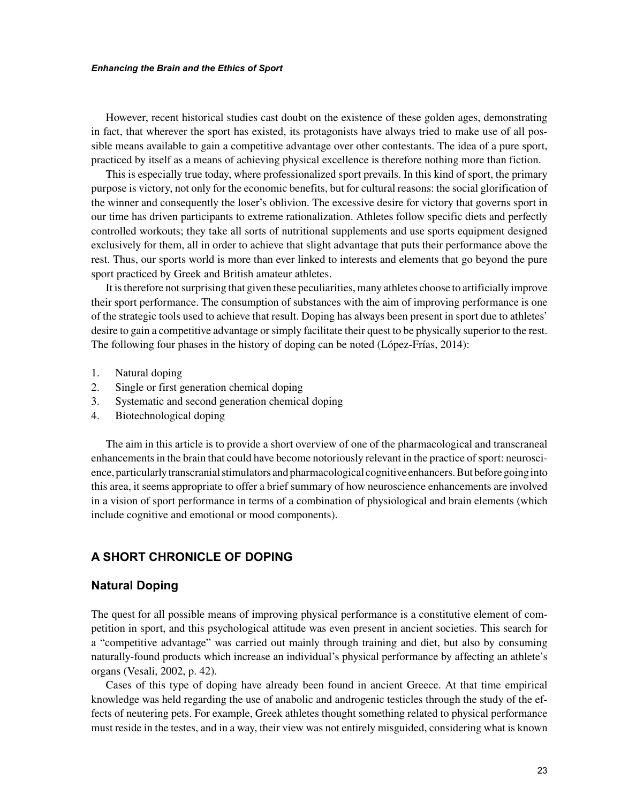#### *Enhancing the Brain and the Ethics of Sport*

However, recent historical studies cast doubt on the existence of these golden ages, demonstrating in fact, that wherever the sport has existed, its protagonists have always tried to make use of all possible means available to gain a competitive advantage over other contestants. The idea of a pure sport, practiced by itself as a means of achieving physical excellence is therefore nothing more than fiction.

This is especially true today, where professionalized sport prevails. In this kind of sport, the primary purpose is victory, not only for the economic benefits, but for cultural reasons: the social glorification of the winner and consequently the loser's oblivion. The excessive desire for victory that governs sport in our time has driven participants to extreme rationalization. Athletes follow specific diets and perfectly controlled workouts; they take all sorts of nutritional supplements and use sports equipment designed exclusively for them, all in order to achieve that slight advantage that puts their performance above the rest. Thus, our sports world is more than ever linked to interests and elements that go beyond the pure sport practiced by Greek and British amateur athletes.

It is therefore not surprising that given these peculiarities, many athletes choose to artificially improve their sport performance. The consumption of substances with the aim of improving performance is one of the strategic tools used to achieve that result. Doping has always been present in sport due to athletes' desire to gain a competitive advantage or simply facilitate their quest to be physically superior to the rest. The following four phases in the history of doping can be noted (López-Frías, 2014):

- 1. Natural doping
- 2. Single or first generation chemical doping
- 3. Systematic and second generation chemical doping
- 4. Biotechnological doping

The aim in this article is to provide a short overview of one of the pharmacological and transcraneal enhancements in the brain that could have become notoriously relevant in the practice of sport: neuroscience, particularly transcranial stimulators and pharmacological cognitive enhancers. But before going into this area, it seems appropriate to offer a brief summary of how neuroscience enhancements are involved in a vision of sport performance in terms of a combination of physiological and brain elements (which include cognitive and emotional or mood components).

## **A SHORT CHRONICLE OF DOPING**

# **Natural Doping**

The quest for all possible means of improving physical performance is a constitutive element of competition in sport, and this psychological attitude was even present in ancient societies. This search for a "competitive advantage" was carried out mainly through training and diet, but also by consuming naturally-found products which increase an individual's physical performance by affecting an athlete's organs (Vesali, 2002, p. 42).

Cases of this type of doping have already been found in ancient Greece. At that time empirical knowledge was held regarding the use of anabolic and androgenic testicles through the study of the effects of neutering pets. For example, Greek athletes thought something related to physical performance must reside in the testes, and in a way, their view was not entirely misguided, considering what is known